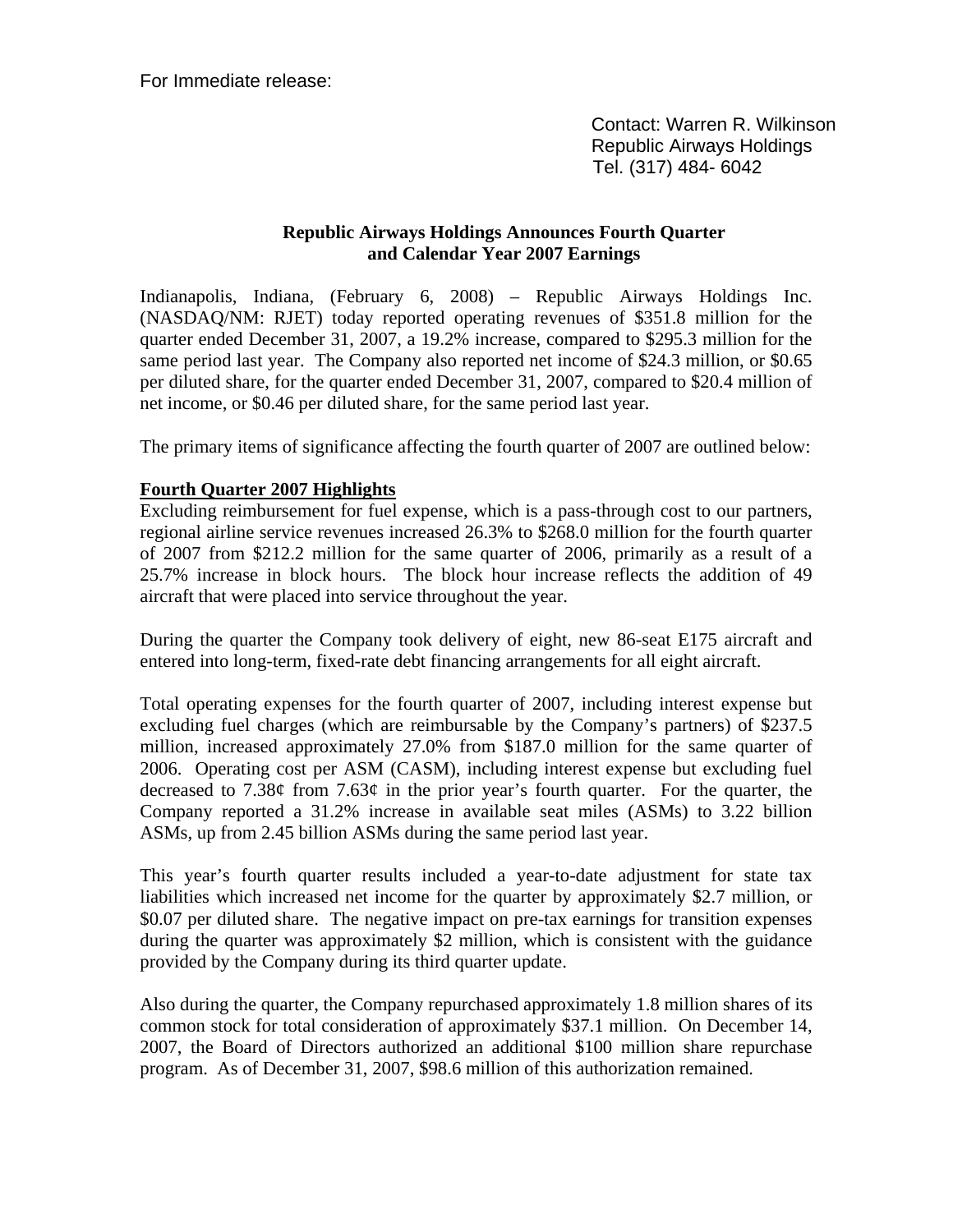For Immediate release:

 Contact: Warren R. Wilkinson Republic Airways Holdings Tel. (317) 484- 6042

## **Republic Airways Holdings Announces Fourth Quarter and Calendar Year 2007 Earnings**

Indianapolis, Indiana, (February 6, 2008) – Republic Airways Holdings Inc. (NASDAQ/NM: RJET) today reported operating revenues of \$351.8 million for the quarter ended December 31, 2007, a 19.2% increase, compared to \$295.3 million for the same period last year. The Company also reported net income of \$24.3 million, or \$0.65 per diluted share, for the quarter ended December 31, 2007, compared to \$20.4 million of net income, or \$0.46 per diluted share, for the same period last year.

The primary items of significance affecting the fourth quarter of 2007 are outlined below:

### **Fourth Quarter 2007 Highlights**

Excluding reimbursement for fuel expense, which is a pass-through cost to our partners, regional airline service revenues increased 26.3% to \$268.0 million for the fourth quarter of 2007 from \$212.2 million for the same quarter of 2006, primarily as a result of a 25.7% increase in block hours. The block hour increase reflects the addition of 49 aircraft that were placed into service throughout the year.

During the quarter the Company took delivery of eight, new 86-seat E175 aircraft and entered into long-term, fixed-rate debt financing arrangements for all eight aircraft.

Total operating expenses for the fourth quarter of 2007, including interest expense but excluding fuel charges (which are reimbursable by the Company's partners) of \$237.5 million, increased approximately 27.0% from \$187.0 million for the same quarter of 2006. Operating cost per ASM (CASM), including interest expense but excluding fuel decreased to 7.38¢ from 7.63¢ in the prior year's fourth quarter. For the quarter, the Company reported a 31.2% increase in available seat miles (ASMs) to 3.22 billion ASMs, up from 2.45 billion ASMs during the same period last year.

This year's fourth quarter results included a year-to-date adjustment for state tax liabilities which increased net income for the quarter by approximately \$2.7 million, or \$0.07 per diluted share. The negative impact on pre-tax earnings for transition expenses during the quarter was approximately \$2 million, which is consistent with the guidance provided by the Company during its third quarter update.

Also during the quarter, the Company repurchased approximately 1.8 million shares of its common stock for total consideration of approximately \$37.1 million. On December 14, 2007, the Board of Directors authorized an additional \$100 million share repurchase program. As of December 31, 2007, \$98.6 million of this authorization remained.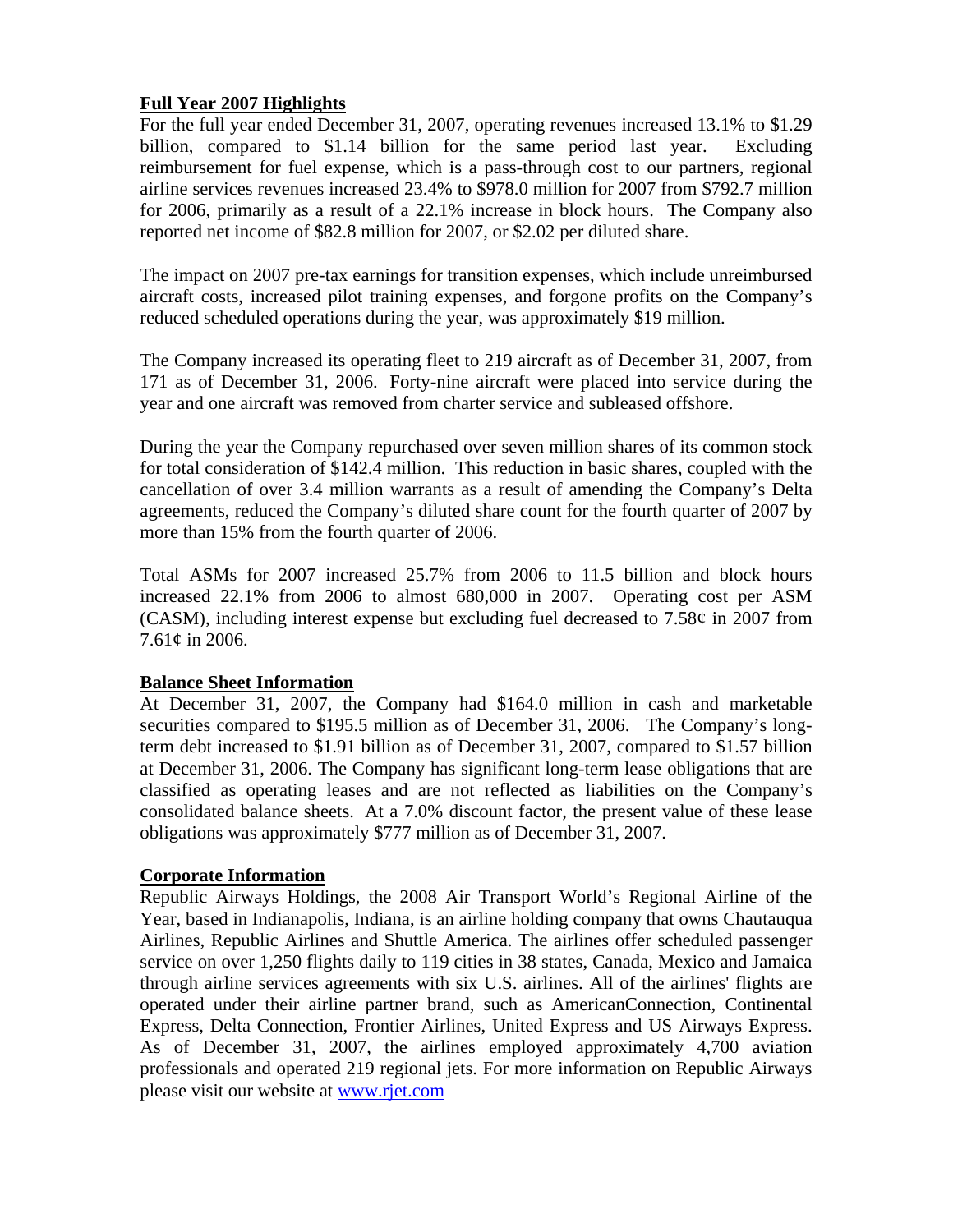# **Full Year 2007 Highlights**

For the full year ended December 31, 2007, operating revenues increased 13.1% to \$1.29 billion, compared to \$1.14 billion for the same period last year. Excluding reimbursement for fuel expense, which is a pass-through cost to our partners, regional airline services revenues increased 23.4% to \$978.0 million for 2007 from \$792.7 million for 2006, primarily as a result of a 22.1% increase in block hours. The Company also reported net income of \$82.8 million for 2007, or \$2.02 per diluted share.

The impact on 2007 pre-tax earnings for transition expenses, which include unreimbursed aircraft costs, increased pilot training expenses, and forgone profits on the Company's reduced scheduled operations during the year, was approximately \$19 million.

The Company increased its operating fleet to 219 aircraft as of December 31, 2007, from 171 as of December 31, 2006. Forty-nine aircraft were placed into service during the year and one aircraft was removed from charter service and subleased offshore.

During the year the Company repurchased over seven million shares of its common stock for total consideration of \$142.4 million. This reduction in basic shares, coupled with the cancellation of over 3.4 million warrants as a result of amending the Company's Delta agreements, reduced the Company's diluted share count for the fourth quarter of 2007 by more than 15% from the fourth quarter of 2006.

Total ASMs for 2007 increased 25.7% from 2006 to 11.5 billion and block hours increased 22.1% from 2006 to almost 680,000 in 2007. Operating cost per ASM (CASM), including interest expense but excluding fuel decreased to 7.58¢ in 2007 from 7.61¢ in 2006.

### **Balance Sheet Information**

At December 31, 2007, the Company had \$164.0 million in cash and marketable securities compared to \$195.5 million as of December 31, 2006. The Company's longterm debt increased to \$1.91 billion as of December 31, 2007, compared to \$1.57 billion at December 31, 2006. The Company has significant long-term lease obligations that are classified as operating leases and are not reflected as liabilities on the Company's consolidated balance sheets. At a 7.0% discount factor, the present value of these lease obligations was approximately \$777 million as of December 31, 2007.

# **Corporate Information**

Republic Airways Holdings, the 2008 Air Transport World's Regional Airline of the Year, based in Indianapolis, Indiana, is an airline holding company that owns Chautauqua Airlines, Republic Airlines and Shuttle America. The airlines offer scheduled passenger service on over 1,250 flights daily to 119 cities in 38 states, Canada, Mexico and Jamaica through airline services agreements with six U.S. airlines. All of the airlines' flights are operated under their airline partner brand, such as AmericanConnection, Continental Express, Delta Connection, Frontier Airlines, United Express and US Airways Express. As of December 31, 2007, the airlines employed approximately 4,700 aviation professionals and operated 219 regional jets. For more information on Republic Airways please visit our website at www.rjet.com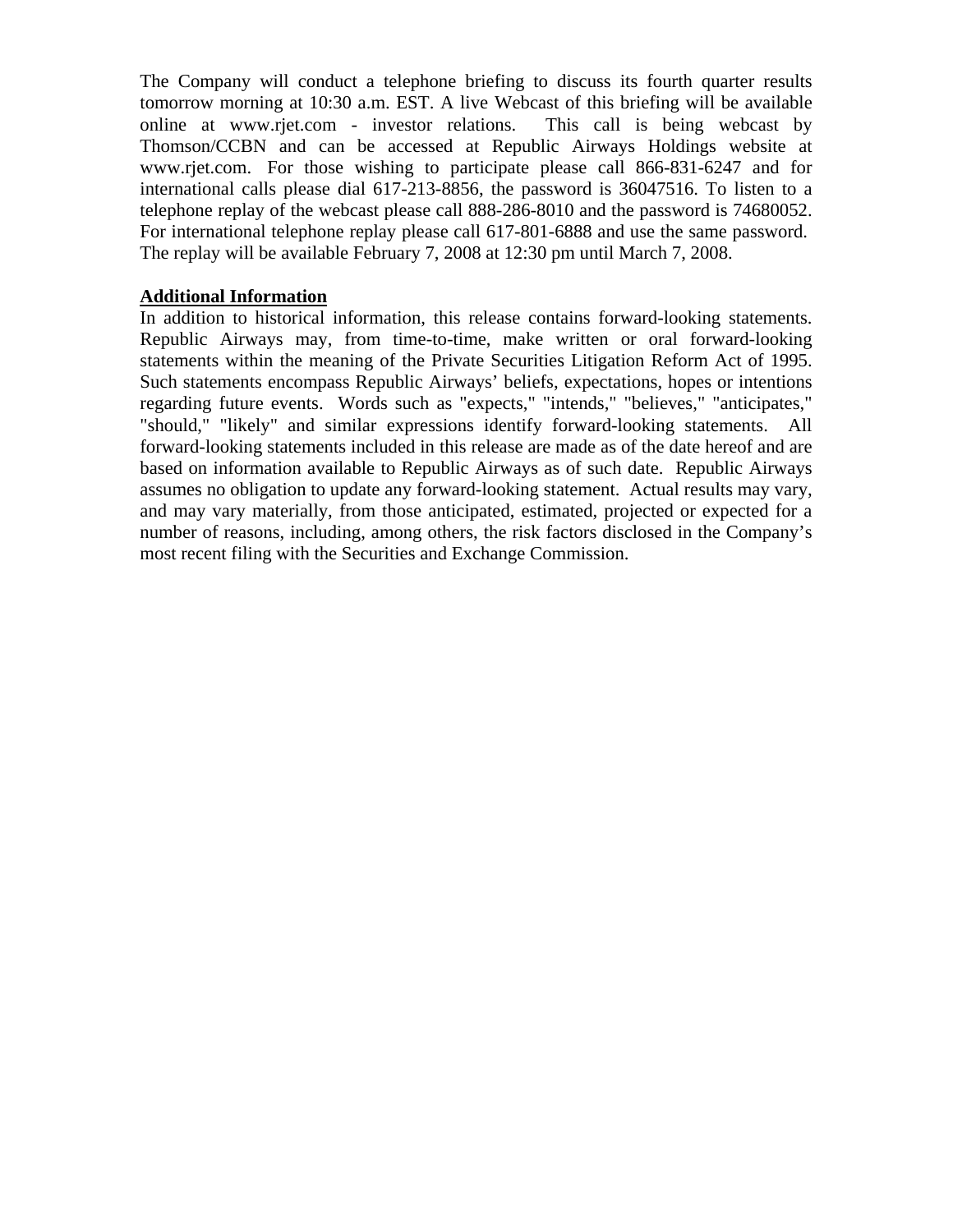The Company will conduct a telephone briefing to discuss its fourth quarter results tomorrow morning at 10:30 a.m. EST. A live Webcast of this briefing will be available online at www.rjet.com - investor relations. This call is being webcast by Thomson/CCBN and can be accessed at Republic Airways Holdings website at www.rjet.com. For those wishing to participate please call 866-831-6247 and for international calls please dial 617-213-8856, the password is 36047516. To listen to a telephone replay of the webcast please call 888-286-8010 and the password is 74680052. For international telephone replay please call 617-801-6888 and use the same password. The replay will be available February 7, 2008 at 12:30 pm until March 7, 2008.

# **Additional Information**

In addition to historical information, this release contains forward-looking statements. Republic Airways may, from time-to-time, make written or oral forward-looking statements within the meaning of the Private Securities Litigation Reform Act of 1995. Such statements encompass Republic Airways' beliefs, expectations, hopes or intentions regarding future events. Words such as "expects," "intends," "believes," "anticipates," "should," "likely" and similar expressions identify forward-looking statements. All forward-looking statements included in this release are made as of the date hereof and are based on information available to Republic Airways as of such date. Republic Airways assumes no obligation to update any forward-looking statement. Actual results may vary, and may vary materially, from those anticipated, estimated, projected or expected for a number of reasons, including, among others, the risk factors disclosed in the Company's most recent filing with the Securities and Exchange Commission.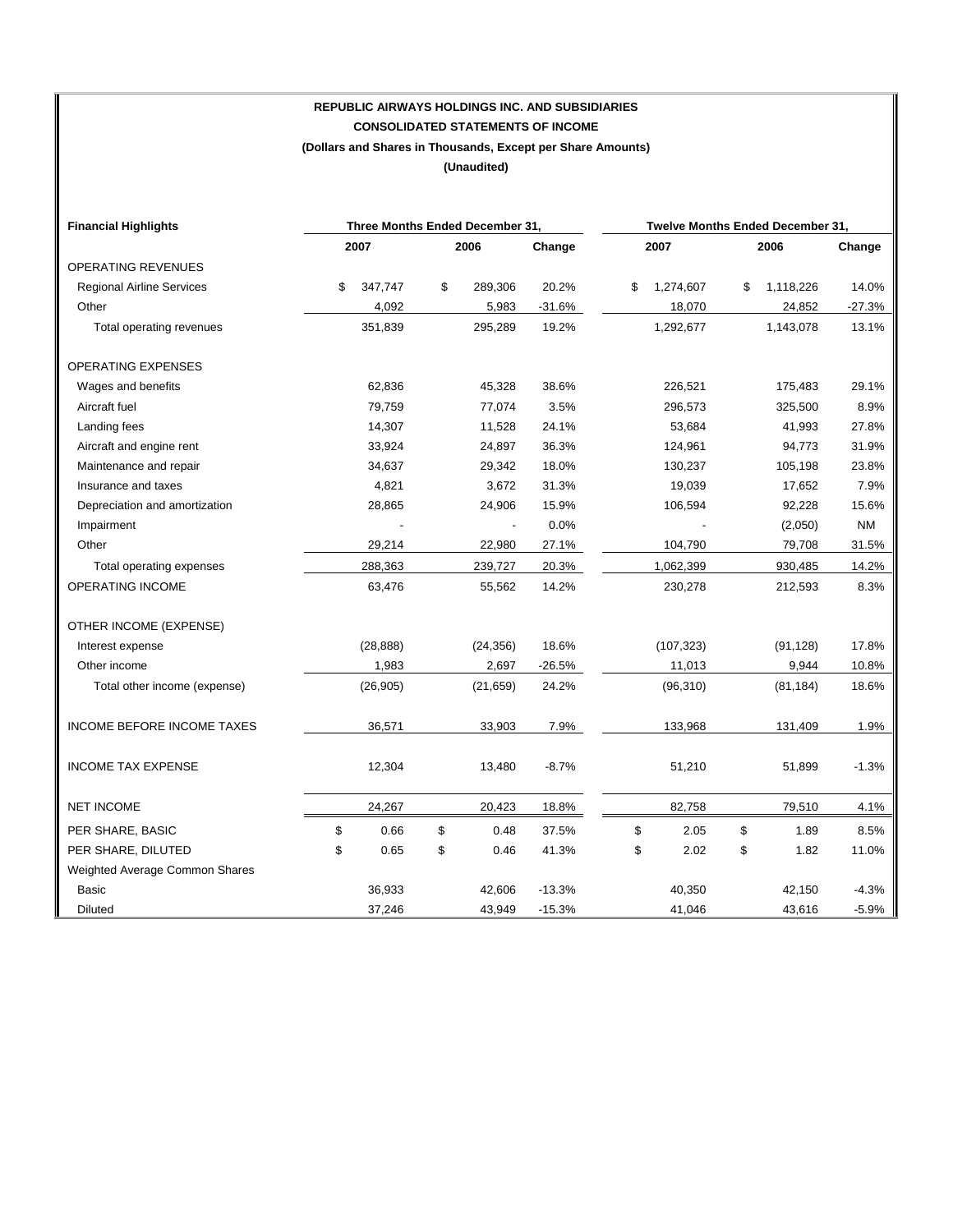# **REPUBLIC AIRWAYS HOLDINGS INC. AND SUBSIDIARIES CONSOLIDATED STATEMENTS OF INCOME (Dollars and Shares in Thousands, Except per Share Amounts)**

**(Unaudited)** 

| <b>Financial Highlights</b>       | Three Months Ended December 31, |           |        |                          |          |    | Twelve Months Ended December 31, |    |           |           |
|-----------------------------------|---------------------------------|-----------|--------|--------------------------|----------|----|----------------------------------|----|-----------|-----------|
|                                   | 2007                            |           | 2006   |                          | Change   |    | 2007                             |    | 2006      | Change    |
| OPERATING REVENUES                |                                 |           |        |                          |          |    |                                  |    |           |           |
| <b>Regional Airline Services</b>  | \$                              | 347,747   | \$     | 289,306                  | 20.2%    | \$ | 1,274,607                        | \$ | 1,118,226 | 14.0%     |
| Other                             |                                 | 4,092     |        | 5,983                    | $-31.6%$ |    | 18,070                           |    | 24,852    | $-27.3%$  |
| Total operating revenues          |                                 | 351,839   |        | 295,289                  | 19.2%    |    | 1,292,677                        |    | 1,143,078 | 13.1%     |
| <b>OPERATING EXPENSES</b>         |                                 |           |        |                          |          |    |                                  |    |           |           |
| Wages and benefits                |                                 | 62,836    |        | 45,328                   | 38.6%    |    | 226,521                          |    | 175,483   | 29.1%     |
| Aircraft fuel                     |                                 | 79,759    |        | 77,074                   | 3.5%     |    | 296,573                          |    | 325,500   | 8.9%      |
| Landing fees                      |                                 | 14,307    |        | 11,528                   | 24.1%    |    | 53,684                           |    | 41,993    | 27.8%     |
| Aircraft and engine rent          |                                 | 33,924    |        | 24,897                   | 36.3%    |    | 124,961                          |    | 94,773    | 31.9%     |
| Maintenance and repair            | 34,637                          |           | 29,342 |                          | 18.0%    |    | 130,237                          |    | 105,198   | 23.8%     |
| Insurance and taxes               |                                 | 4,821     |        | 3,672                    | 31.3%    |    | 19,039                           |    | 17,652    | 7.9%      |
| Depreciation and amortization     |                                 | 28,865    |        | 24,906                   | 15.9%    |    | 106,594                          |    | 92,228    | 15.6%     |
| Impairment                        |                                 |           |        | $\overline{\phantom{a}}$ | 0.0%     |    |                                  |    | (2,050)   | <b>NM</b> |
| Other                             |                                 | 29,214    |        | 22,980                   | 27.1%    |    | 104,790                          |    | 79,708    | 31.5%     |
| Total operating expenses          |                                 | 288,363   |        | 239,727                  | 20.3%    |    | 1,062,399                        |    | 930,485   | 14.2%     |
| OPERATING INCOME                  |                                 | 63,476    |        | 55,562                   | 14.2%    |    | 230,278                          |    | 212,593   | 8.3%      |
| OTHER INCOME (EXPENSE)            |                                 |           |        |                          |          |    |                                  |    |           |           |
| Interest expense                  |                                 | (28, 888) |        | (24, 356)                | 18.6%    |    | (107, 323)                       |    | (91, 128) | 17.8%     |
| Other income                      |                                 | 1,983     |        | 2,697                    | $-26.5%$ |    | 11,013                           |    | 9,944     | 10.8%     |
| Total other income (expense)      |                                 | (26, 905) |        | (21, 659)                | 24.2%    |    | (96, 310)                        |    | (81, 184) | 18.6%     |
| <b>INCOME BEFORE INCOME TAXES</b> |                                 | 36,571    |        | 33,903                   | 7.9%     |    | 133,968                          |    | 131,409   | 1.9%      |
| <b>INCOME TAX EXPENSE</b>         |                                 | 12,304    |        | 13,480                   | $-8.7%$  |    | 51,210                           |    | 51,899    | $-1.3%$   |
| <b>NET INCOME</b>                 |                                 | 24,267    |        | 20,423                   | 18.8%    |    | 82,758                           |    | 79,510    | 4.1%      |
| PER SHARE, BASIC                  | \$                              | 0.66      | \$     | 0.48                     | 37.5%    | \$ | 2.05                             | \$ | 1.89      | 8.5%      |
| PER SHARE, DILUTED                | \$                              | 0.65      | \$     | 0.46                     | 41.3%    | \$ | 2.02                             | \$ | 1.82      | 11.0%     |
| Weighted Average Common Shares    |                                 |           |        |                          |          |    |                                  |    |           |           |
| Basic                             |                                 | 36,933    |        | 42,606                   | $-13.3%$ |    | 40,350                           |    | 42,150    | $-4.3%$   |
| <b>Diluted</b>                    |                                 | 37,246    |        | 43,949                   | $-15.3%$ |    | 41,046                           |    | 43,616    | $-5.9%$   |